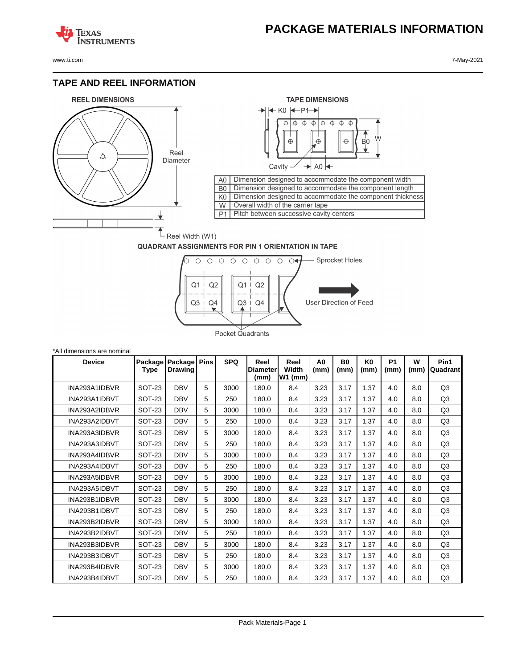## **PACKAGE MATERIALS INFORMATION**

**TEXAS NSTRUMENTS** 

www.ti.com 7-May-2021

## **TAPE AND REEL INFORMATION**





## **QUADRANT ASSIGNMENTS FOR PIN 1 ORIENTATION IN TAPE**



| *All dimensions are nominal |                 |                           |             |            |                                 |                          |                        |                   |                        |                   |           |                  |
|-----------------------------|-----------------|---------------------------|-------------|------------|---------------------------------|--------------------------|------------------------|-------------------|------------------------|-------------------|-----------|------------------|
| <b>Device</b>               | Package<br>Type | Package<br><b>Drawing</b> | <b>Pins</b> | <b>SPQ</b> | Reel<br><b>Diameter</b><br>(mm) | Reel<br>Width<br>W1 (mm) | A <sub>0</sub><br>(mm) | <b>B0</b><br>(mm) | K <sub>0</sub><br>(mm) | <b>P1</b><br>(mm) | W<br>(mm) | Pin1<br>Quadrant |
| INA293A1IDBVR               | <b>SOT-23</b>   | <b>DBV</b>                | 5           | 3000       | 180.0                           | 8.4                      | 3.23                   | 3.17              | 1.37                   | 4.0               | 8.0       | Q <sub>3</sub>   |
| INA293A1IDBVT               | <b>SOT-23</b>   | <b>DBV</b>                | 5           | 250        | 180.0                           | 8.4                      | 3.23                   | 3.17              | 1.37                   | 4.0               | 8.0       | Q <sub>3</sub>   |
| INA293A2IDBVR               | <b>SOT-23</b>   | <b>DBV</b>                | 5           | 3000       | 180.0                           | 8.4                      | 3.23                   | 3.17              | 1.37                   | 4.0               | 8.0       | Q <sub>3</sub>   |
| INA293A2IDBVT               | <b>SOT-23</b>   | <b>DBV</b>                | 5           | 250        | 180.0                           | 8.4                      | 3.23                   | 3.17              | 1.37                   | 4.0               | 8.0       | Q <sub>3</sub>   |
| INA293A3IDBVR               | <b>SOT-23</b>   | <b>DBV</b>                | 5           | 3000       | 180.0                           | 8.4                      | 3.23                   | 3.17              | 1.37                   | 4.0               | 8.0       | Q <sub>3</sub>   |
| INA293A3IDBVT               | <b>SOT-23</b>   | <b>DBV</b>                | 5           | 250        | 180.0                           | 8.4                      | 3.23                   | 3.17              | 1.37                   | 4.0               | 8.0       | Q <sub>3</sub>   |
| INA293A4IDBVR               | <b>SOT-23</b>   | <b>DBV</b>                | 5           | 3000       | 180.0                           | 8.4                      | 3.23                   | 3.17              | 1.37                   | 4.0               | 8.0       | Q <sub>3</sub>   |
| INA293A4IDBVT               | <b>SOT-23</b>   | <b>DBV</b>                | 5           | 250        | 180.0                           | 8.4                      | 3.23                   | 3.17              | 1.37                   | 4.0               | 8.0       | Q <sub>3</sub>   |
| INA293A5IDBVR               | <b>SOT-23</b>   | <b>DBV</b>                | 5           | 3000       | 180.0                           | 8.4                      | 3.23                   | 3.17              | 1.37                   | 4.0               | 8.0       | Q <sub>3</sub>   |
| INA293A5IDBVT               | <b>SOT-23</b>   | <b>DBV</b>                | 5           | 250        | 180.0                           | 8.4                      | 3.23                   | 3.17              | 1.37                   | 4.0               | 8.0       | Q <sub>3</sub>   |
| INA293B1IDBVR               | <b>SOT-23</b>   | <b>DBV</b>                | 5           | 3000       | 180.0                           | 8.4                      | 3.23                   | 3.17              | 1.37                   | 4.0               | 8.0       | Q <sub>3</sub>   |
| INA293B1IDBVT               | <b>SOT-23</b>   | <b>DBV</b>                | 5           | 250        | 180.0                           | 8.4                      | 3.23                   | 3.17              | 1.37                   | 4.0               | 8.0       | Q <sub>3</sub>   |
| INA293B2IDBVR               | <b>SOT-23</b>   | <b>DBV</b>                | 5           | 3000       | 180.0                           | 8.4                      | 3.23                   | 3.17              | 1.37                   | 4.0               | 8.0       | Q <sub>3</sub>   |
| INA293B2IDBVT               | <b>SOT-23</b>   | <b>DBV</b>                | 5           | 250        | 180.0                           | 8.4                      | 3.23                   | 3.17              | 1.37                   | 4.0               | 8.0       | Q <sub>3</sub>   |
| INA293B3IDBVR               | <b>SOT-23</b>   | <b>DBV</b>                | 5           | 3000       | 180.0                           | 8.4                      | 3.23                   | 3.17              | 1.37                   | 4.0               | 8.0       | Q <sub>3</sub>   |
| INA293B3IDBVT               | <b>SOT-23</b>   | <b>DBV</b>                | 5           | 250        | 180.0                           | 8.4                      | 3.23                   | 3.17              | 1.37                   | 4.0               | 8.0       | Q <sub>3</sub>   |
| INA293B4IDBVR               | <b>SOT-23</b>   | <b>DBV</b>                | 5           | 3000       | 180.0                           | 8.4                      | 3.23                   | 3.17              | 1.37                   | 4.0               | 8.0       | Q <sub>3</sub>   |
| INA293B4IDBVT               | <b>SOT-23</b>   | <b>DBV</b>                | 5           | 250        | 180.0                           | 8.4                      | 3.23                   | 3.17              | 1.37                   | 4.0               | 8.0       | Q <sub>3</sub>   |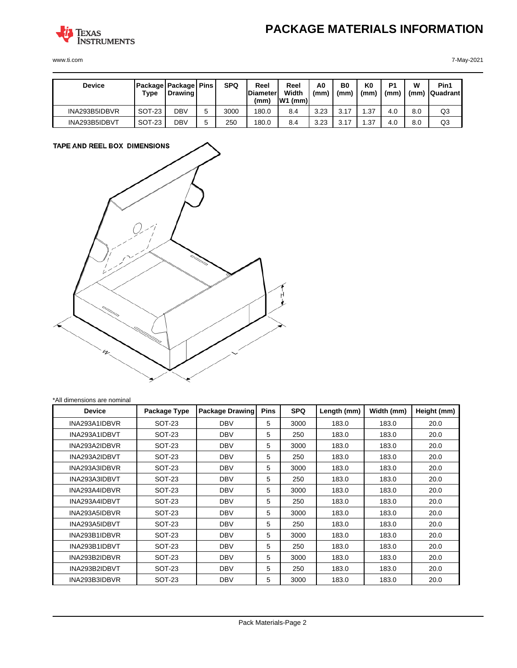

www.ti.com 7-May-2021

| <b>Device</b> | Type   | <b>Package Package Pins</b><br><b>Drawing</b> |   | <b>SPQ</b> | Reel<br><b>Diameter</b><br>(mm, | Reel<br>Width<br>$W1$ (mm) | A0<br>(mm) | B0<br>(mm` | ΚO<br>(mm) | P <sub>1</sub><br>(mm) | w<br>(mm) | Pin1<br><b>Quadrant</b> |
|---------------|--------|-----------------------------------------------|---|------------|---------------------------------|----------------------------|------------|------------|------------|------------------------|-----------|-------------------------|
| INA293B5IDBVR | SOT-23 | DBV                                           |   | 3000       | 180.0                           | 8.4                        | 3.23       | 3.17       | . .37      | 4.0                    | 8.0       | Q3                      |
| INA293B5IDBVT | SOT-23 | DBV                                           | ∽ | 250        | 180.0                           | 8.4                        | 3.23       | 3.17       | .37        | 4.0                    | 8.0       | Q3                      |



\*All dimensions are nominal

| <b>Device</b> | Package Type | <b>Package Drawing</b> | <b>Pins</b> | <b>SPQ</b> | Length (mm) | Width (mm) | Height (mm) |
|---------------|--------------|------------------------|-------------|------------|-------------|------------|-------------|
| INA293A1IDBVR | SOT-23       | <b>DBV</b>             | 5           | 3000       | 183.0       | 183.0      | 20.0        |
| INA293A1IDBVT | SOT-23       | <b>DBV</b>             | 5           | 250        | 183.0       | 183.0      | 20.0        |
| INA293A2IDBVR | SOT-23       | <b>DBV</b>             | 5           | 3000       | 183.0       | 183.0      | 20.0        |
| INA293A2IDBVT | SOT-23       | <b>DBV</b>             | 5           | 250        | 183.0       | 183.0      | 20.0        |
| INA293A3IDBVR | SOT-23       | <b>DBV</b>             | 5           | 3000       | 183.0       | 183.0      | 20.0        |
| INA293A3IDBVT | SOT-23       | <b>DBV</b>             | 5           | 250        | 183.0       | 183.0      | 20.0        |
| INA293A4IDBVR | SOT-23       | <b>DBV</b>             | 5           | 3000       | 183.0       | 183.0      | 20.0        |
| INA293A4IDBVT | SOT-23       | <b>DBV</b>             | 5           | 250        | 183.0       | 183.0      | 20.0        |
| INA293A5IDBVR | SOT-23       | <b>DBV</b>             | 5           | 3000       | 183.0       | 183.0      | 20.0        |
| INA293A5IDBVT | SOT-23       | <b>DBV</b>             | 5           | 250        | 183.0       | 183.0      | 20.0        |
| INA293B1IDBVR | SOT-23       | <b>DBV</b>             | 5           | 3000       | 183.0       | 183.0      | 20.0        |
| INA293B1IDBVT | SOT-23       | <b>DBV</b>             | 5           | 250        | 183.0       | 183.0      | 20.0        |
| INA293B2IDBVR | SOT-23       | <b>DBV</b>             | 5           | 3000       | 183.0       | 183.0      | 20.0        |
| INA293B2IDBVT | SOT-23       | <b>DBV</b>             | 5           | 250        | 183.0       | 183.0      | 20.0        |
| INA293B3IDBVR | SOT-23       | <b>DBV</b>             | 5           | 3000       | 183.0       | 183.0      | 20.0        |